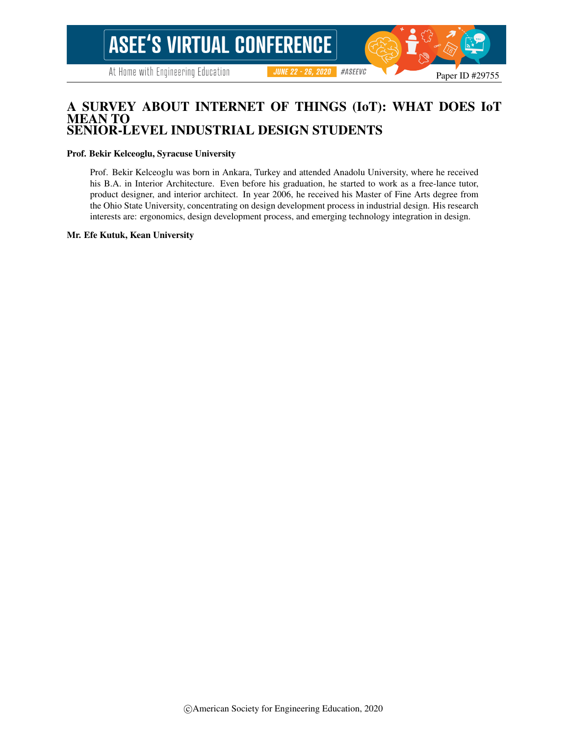### A SURVEY ABOUT INTERNET OF THINGS (IoT): WHAT DOES IoT MEAN TO SENIOR-LEVEL INDUSTRIAL DESIGN STUDENTS

#### Prof. Bekir Kelceoglu, Syracuse University

Prof. Bekir Kelceoglu was born in Ankara, Turkey and attended Anadolu University, where he received his B.A. in Interior Architecture. Even before his graduation, he started to work as a free-lance tutor, product designer, and interior architect. In year 2006, he received his Master of Fine Arts degree from the Ohio State University, concentrating on design development process in industrial design. His research interests are: ergonomics, design development process, and emerging technology integration in design.

#### Mr. Efe Kutuk, Kean University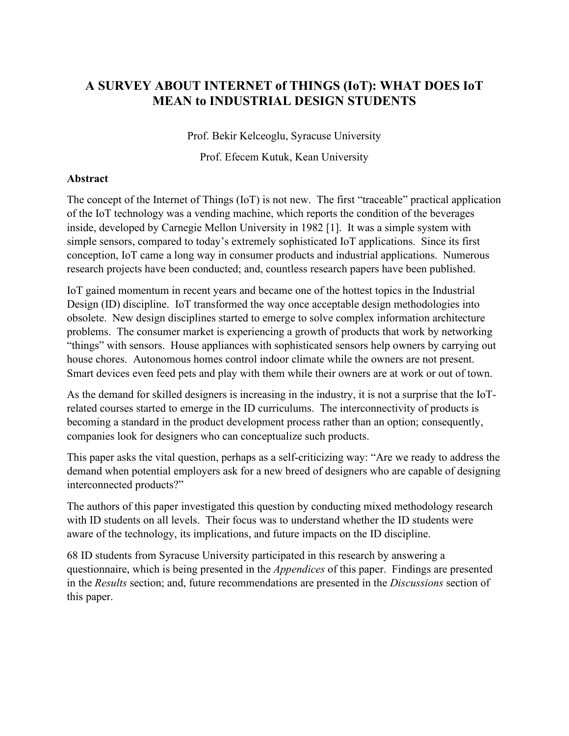# **A SURVEY ABOUT INTERNET of THINGS (IoT): WHAT DOES IoT MEAN to INDUSTRIAL DESIGN STUDENTS**

Prof. Bekir Kelceoglu, Syracuse University

Prof. Efecem Kutuk, Kean University

### **Abstract**

The concept of the Internet of Things (IoT) is not new. The first "traceable" practical application of the IoT technology was a vending machine, which reports the condition of the beverages inside, developed by Carnegie Mellon University in 1982 [1]. It was a simple system with simple sensors, compared to today's extremely sophisticated IoT applications. Since its first conception, IoT came a long way in consumer products and industrial applications. Numerous research projects have been conducted; and, countless research papers have been published.

IoT gained momentum in recent years and became one of the hottest topics in the Industrial Design (ID) discipline. IoT transformed the way once acceptable design methodologies into obsolete. New design disciplines started to emerge to solve complex information architecture problems. The consumer market is experiencing a growth of products that work by networking "things" with sensors. House appliances with sophisticated sensors help owners by carrying out house chores. Autonomous homes control indoor climate while the owners are not present. Smart devices even feed pets and play with them while their owners are at work or out of town.

As the demand for skilled designers is increasing in the industry, it is not a surprise that the IoTrelated courses started to emerge in the ID curriculums. The interconnectivity of products is becoming a standard in the product development process rather than an option; consequently, companies look for designers who can conceptualize such products.

This paper asks the vital question, perhaps as a self-criticizing way: "Are we ready to address the demand when potential employers ask for a new breed of designers who are capable of designing interconnected products?"

The authors of this paper investigated this question by conducting mixed methodology research with ID students on all levels. Their focus was to understand whether the ID students were aware of the technology, its implications, and future impacts on the ID discipline.

68 ID students from Syracuse University participated in this research by answering a questionnaire, which is being presented in the *Appendices* of this paper. Findings are presented in the *Results* section; and, future recommendations are presented in the *Discussions* section of this paper.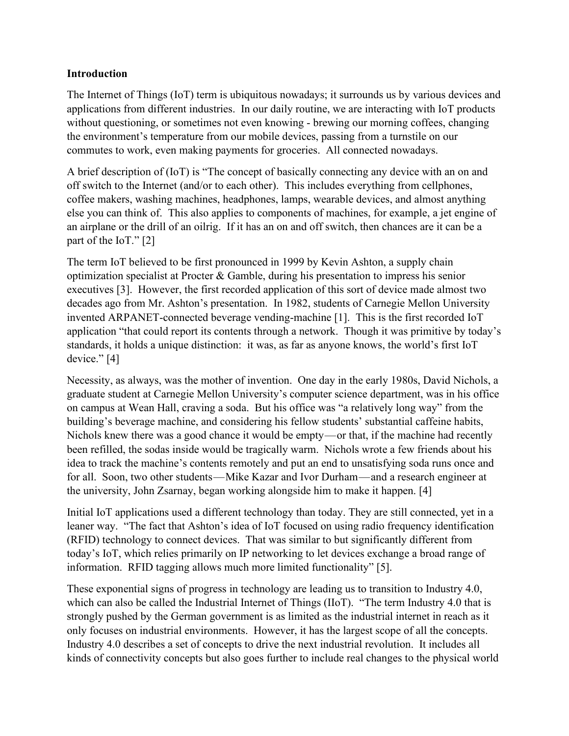### **Introduction**

The Internet of Things (IoT) term is ubiquitous nowadays; it surrounds us by various devices and applications from different industries. In our daily routine, we are interacting with IoT products without questioning, or sometimes not even knowing - brewing our morning coffees, changing the environment's temperature from our mobile devices, passing from a turnstile on our commutes to work, even making payments for groceries. All connected nowadays.

A brief description of (IoT) is "The concept of basically connecting any device with an on and off switch to the Internet (and/or to each other). This includes everything from cellphones, coffee makers, washing machines, headphones, lamps, wearable devices, and almost anything else you can think of. This also applies to components of machines, for example, a jet engine of an airplane or the drill of an oilrig. If it has an on and off switch, then chances are it can be a part of the IoT." [2]

The term IoT believed to be first pronounced in 1999 by Kevin Ashton, a supply chain optimization specialist at Procter & Gamble, during his presentation to impress his senior executives [3]. However, the first recorded application of this sort of device made almost two decades ago from Mr. Ashton's presentation. In 1982, students of Carnegie Mellon University invented ARPANET-connected beverage vending-machine [1]. This is the first recorded IoT application "that could report its contents through a network. Though it was primitive by today's standards, it holds a unique distinction: it was, as far as anyone knows, the world's first IoT device." [4]

Necessity, as always, was the mother of invention. One day in the early 1980s, David Nichols, a graduate student at Carnegie Mellon University's computer science department, was in his office on campus at Wean Hall, craving a soda. But his office was "a relatively long way" from the building's beverage machine, and considering his fellow students' substantial caffeine habits, Nichols knew there was a good chance it would be empty—or that, if the machine had recently been refilled, the sodas inside would be tragically warm. Nichols wrote a few friends about his idea to track the machine's contents remotely and put an end to unsatisfying soda runs once and for all. Soon, two other students—Mike Kazar and Ivor Durham—and a research engineer at the university, John Zsarnay, began working alongside him to make it happen. [4]

Initial IoT applications used a different technology than today. They are still connected, yet in a leaner way. "The fact that Ashton's idea of IoT focused on using radio frequency identification (RFID) technology to connect devices. That was similar to but significantly different from today's IoT, which relies primarily on IP networking to let devices exchange a broad range of information. RFID tagging allows much more limited functionality" [5].

These exponential signs of progress in technology are leading us to transition to Industry 4.0, which can also be called the Industrial Internet of Things (IIoT). "The term Industry 4.0 that is strongly pushed by the German government is as limited as the industrial internet in reach as it only focuses on industrial environments. However, it has the largest scope of all the concepts. Industry 4.0 describes a set of concepts to drive the next industrial revolution. It includes all kinds of connectivity concepts but also goes further to include real changes to the physical world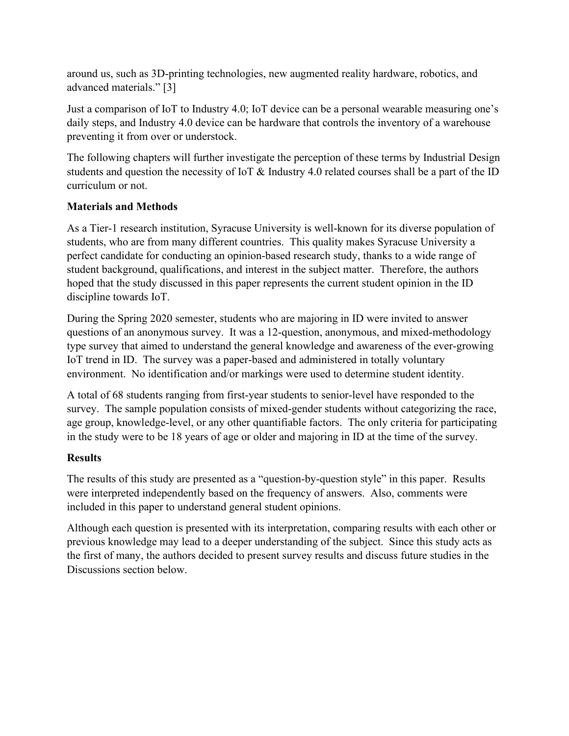around us, such as 3D-printing technologies, new augmented reality hardware, robotics, and advanced materials." [3]

Just a comparison of IoT to Industry 4.0; IoT device can be a personal wearable measuring one's daily steps, and Industry 4.0 device can be hardware that controls the inventory of a warehouse preventing it from over or understock.

The following chapters will further investigate the perception of these terms by Industrial Design students and question the necessity of IoT & Industry 4.0 related courses shall be a part of the ID curriculum or not.

## **Materials and Methods**

As a Tier-1 research institution, Syracuse University is well-known for its diverse population of students, who are from many different countries. This quality makes Syracuse University a perfect candidate for conducting an opinion-based research study, thanks to a wide range of student background, qualifications, and interest in the subject matter. Therefore, the authors hoped that the study discussed in this paper represents the current student opinion in the ID discipline towards IoT.

During the Spring 2020 semester, students who are majoring in ID were invited to answer questions of an anonymous survey. It was a 12-question, anonymous, and mixed-methodology type survey that aimed to understand the general knowledge and awareness of the ever-growing IoT trend in ID. The survey was a paper-based and administered in totally voluntary environment. No identification and/or markings were used to determine student identity.

A total of 68 students ranging from first-year students to senior-level have responded to the survey. The sample population consists of mixed-gender students without categorizing the race, age group, knowledge-level, or any other quantifiable factors. The only criteria for participating in the study were to be 18 years of age or older and majoring in ID at the time of the survey.

## **Results**

The results of this study are presented as a "question-by-question style" in this paper. Results were interpreted independently based on the frequency of answers. Also, comments were included in this paper to understand general student opinions.

Although each question is presented with its interpretation, comparing results with each other or previous knowledge may lead to a deeper understanding of the subject. Since this study acts as the first of many, the authors decided to present survey results and discuss future studies in the Discussions section below.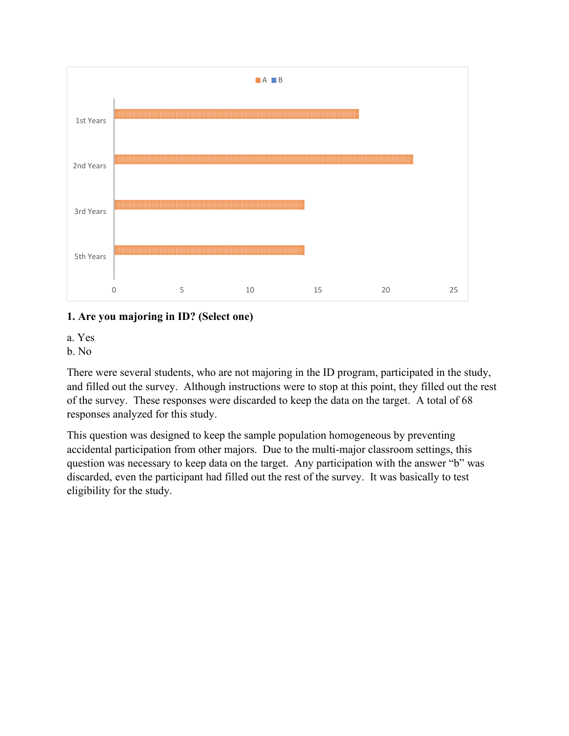

### **1. Are you majoring in ID? (Select one)**

a. Yes

b. No

There were several students, who are not majoring in the ID program, participated in the study, and filled out the survey. Although instructions were to stop at this point, they filled out the rest of the survey. These responses were discarded to keep the data on the target. A total of 68 responses analyzed for this study.

This question was designed to keep the sample population homogeneous by preventing accidental participation from other majors. Due to the multi-major classroom settings, this question was necessary to keep data on the target. Any participation with the answer "b" was discarded, even the participant had filled out the rest of the survey. It was basically to test eligibility for the study.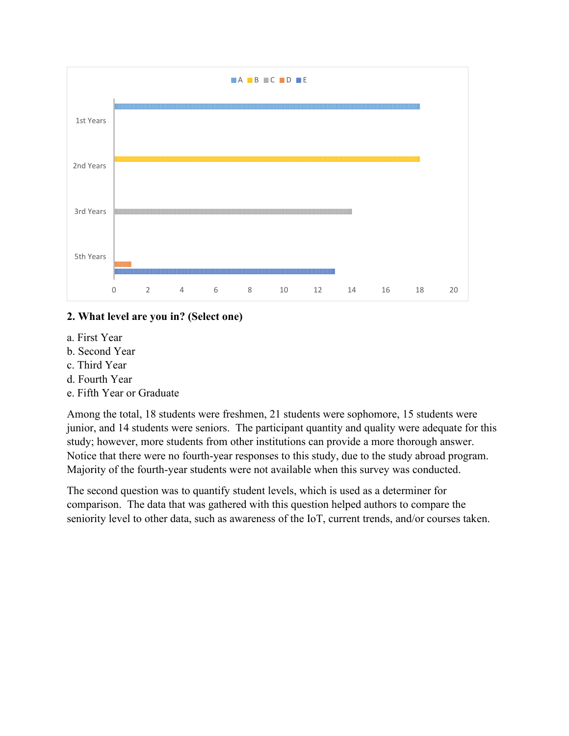

### **2. What level are you in? (Select one)**

- a. First Year
- b. Second Year
- c. Third Year
- d. Fourth Year
- e. Fifth Year or Graduate

Among the total, 18 students were freshmen, 21 students were sophomore, 15 students were junior, and 14 students were seniors. The participant quantity and quality were adequate for this study; however, more students from other institutions can provide a more thorough answer. Notice that there were no fourth-year responses to this study, due to the study abroad program. Majority of the fourth-year students were not available when this survey was conducted.

The second question was to quantify student levels, which is used as a determiner for comparison. The data that was gathered with this question helped authors to compare the seniority level to other data, such as awareness of the IoT, current trends, and/or courses taken.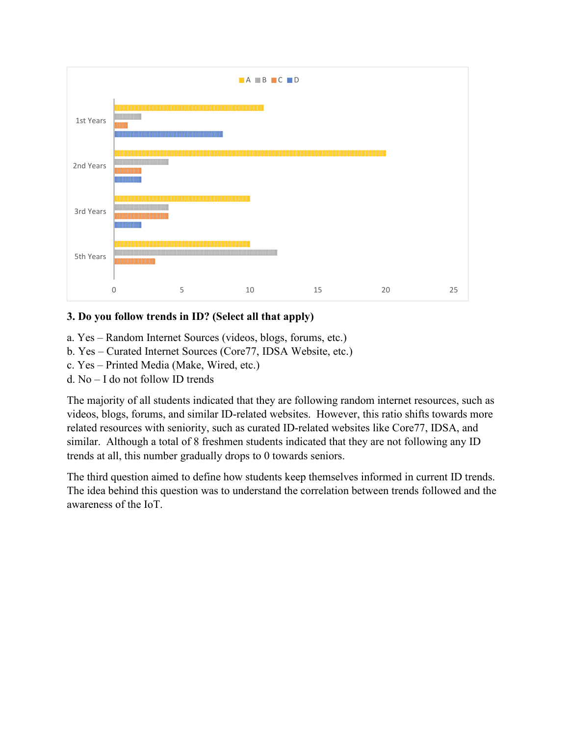

### **3. Do you follow trends in ID? (Select all that apply)**

- a. Yes Random Internet Sources (videos, blogs, forums, etc.)
- b. Yes Curated Internet Sources (Core77, IDSA Website, etc.)
- c. Yes Printed Media (Make, Wired, etc.)
- d. No I do not follow ID trends

The majority of all students indicated that they are following random internet resources, such as videos, blogs, forums, and similar ID-related websites. However, this ratio shifts towards more related resources with seniority, such as curated ID-related websites like Core77, IDSA, and similar. Although a total of 8 freshmen students indicated that they are not following any ID trends at all, this number gradually drops to 0 towards seniors.

The third question aimed to define how students keep themselves informed in current ID trends. The idea behind this question was to understand the correlation between trends followed and the awareness of the IoT.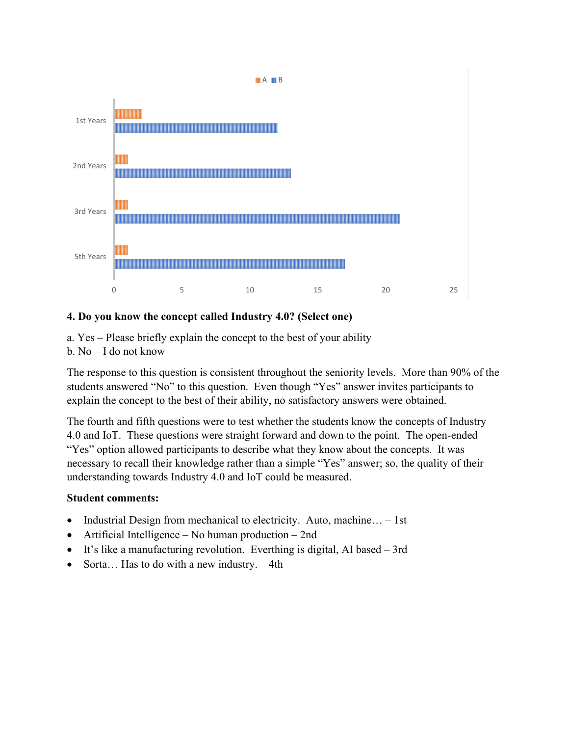

### **4. Do you know the concept called Industry 4.0? (Select one)**

- a. Yes Please briefly explain the concept to the best of your ability
- b. No I do not know

The response to this question is consistent throughout the seniority levels. More than 90% of the students answered "No" to this question. Even though "Yes" answer invites participants to explain the concept to the best of their ability, no satisfactory answers were obtained.

The fourth and fifth questions were to test whether the students know the concepts of Industry 4.0 and IoT. These questions were straight forward and down to the point. The open-ended "Yes" option allowed participants to describe what they know about the concepts. It was necessary to recall their knowledge rather than a simple "Yes" answer; so, the quality of their understanding towards Industry 4.0 and IoT could be measured.

- Industrial Design from mechanical to electricity. Auto, machine... 1st
- Artificial Intelligence No human production 2nd
- It's like a manufacturing revolution. Everthing is digital, AI based 3rd
- Sorta... Has to do with a new industry. 4th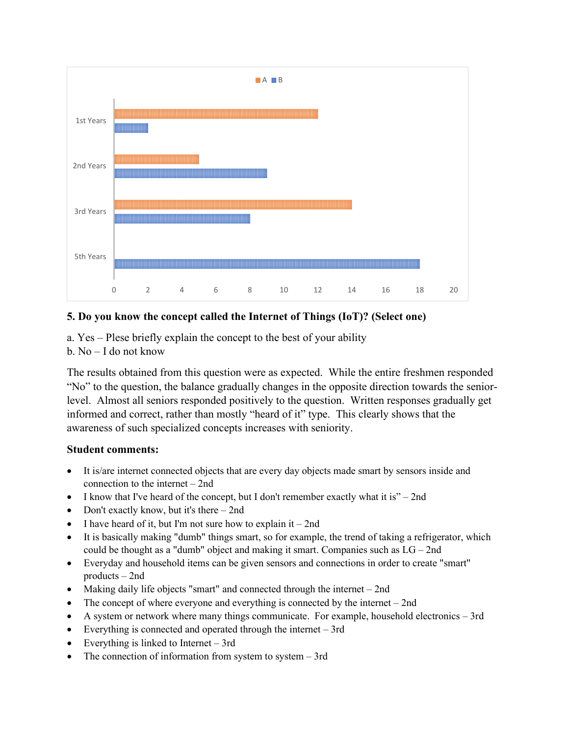

### **5. Do you know the concept called the Internet of Things (IoT)? (Select one)**

- a. Yes Plese briefly explain the concept to the best of your ability
- b. No I do not know

The results obtained from this question were as expected. While the entire freshmen responded "No" to the question, the balance gradually changes in the opposite direction towards the seniorlevel. Almost all seniors responded positively to the question. Written responses gradually get informed and correct, rather than mostly "heard of it" type. This clearly shows that the awareness of such specialized concepts increases with seniority.

- It is/are internet connected objects that are every day objects made smart by sensors inside and connection to the internet – 2nd
- I know that I've heard of the concept, but I don't remember exactly what it is" 2nd
- Don't exactly know, but it's there  $-$  2nd
- I have heard of it, but I'm not sure how to explain it  $-$  2nd
- It is basically making "dumb" things smart, so for example, the trend of taking a refrigerator, which could be thought as a "dumb" object and making it smart. Companies such as  $LG-2nd$
- Everyday and household items can be given sensors and connections in order to create "smart" products – 2nd
- Making daily life objects "smart" and connected through the internet  $-$  2nd
- The concept of where everyone and everything is connected by the internet 2nd
- A system or network where many things communicate. For example, household electronics 3rd
- Everything is connected and operated through the internet 3rd
- Everything is linked to Internet 3rd
- The connection of information from system to system  $-3$ rd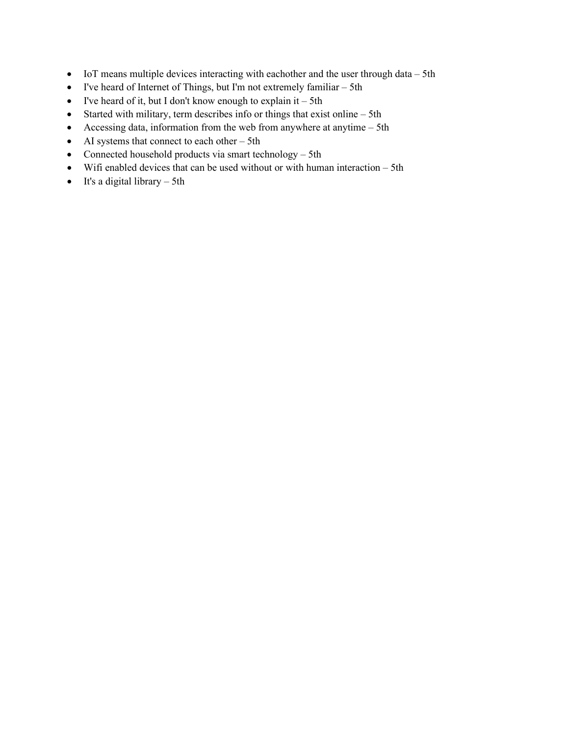- IoT means multiple devices interacting with eachother and the user through data 5th
- I've heard of Internet of Things, but I'm not extremely familiar 5th
- I've heard of it, but I don't know enough to explain it  $-5$ th
- Started with military, term describes info or things that exist online 5th
- Accessing data, information from the web from anywhere at anytime 5th
- AI systems that connect to each other 5th
- Connected household products via smart technology 5th
- Wifi enabled devices that can be used without or with human interaction 5th
- It's a digital library  $-$  5th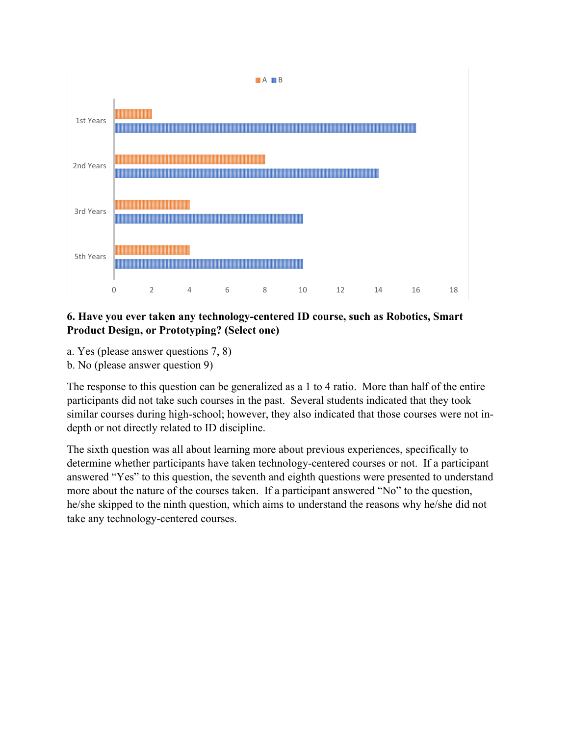

### **6. Have you ever taken any technology-centered ID course, such as Robotics, Smart Product Design, or Prototyping? (Select one)**

- a. Yes (please answer questions 7, 8)
- b. No (please answer question 9)

The response to this question can be generalized as a 1 to 4 ratio. More than half of the entire participants did not take such courses in the past. Several students indicated that they took similar courses during high-school; however, they also indicated that those courses were not indepth or not directly related to ID discipline.

The sixth question was all about learning more about previous experiences, specifically to determine whether participants have taken technology-centered courses or not. If a participant answered "Yes" to this question, the seventh and eighth questions were presented to understand more about the nature of the courses taken. If a participant answered "No" to the question, he/she skipped to the ninth question, which aims to understand the reasons why he/she did not take any technology-centered courses.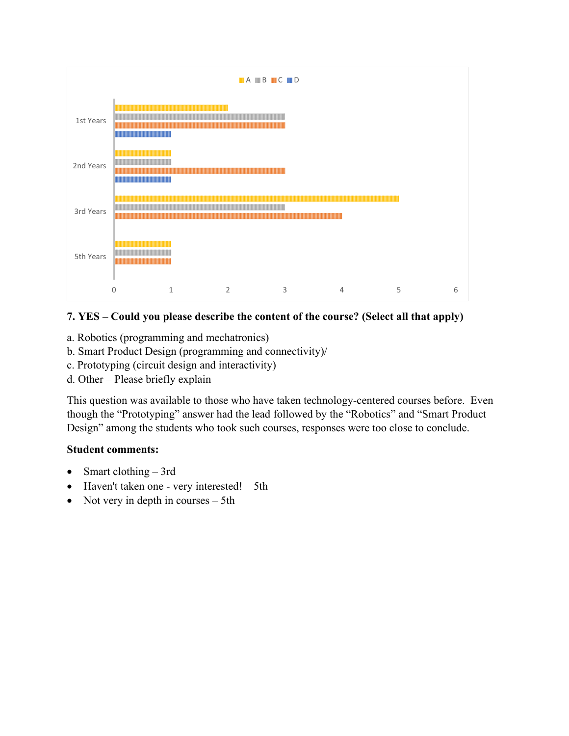

### **7. YES – Could you please describe the content of the course? (Select all that apply)**

- a. Robotics (programming and mechatronics)
- b. Smart Product Design (programming and connectivity)/
- c. Prototyping (circuit design and interactivity)
- d. Other Please briefly explain

This question was available to those who have taken technology-centered courses before. Even though the "Prototyping" answer had the lead followed by the "Robotics" and "Smart Product Design" among the students who took such courses, responses were too close to conclude.

- Smart clothing 3rd
- Haven't taken one very interested! 5th
- Not very in depth in courses 5th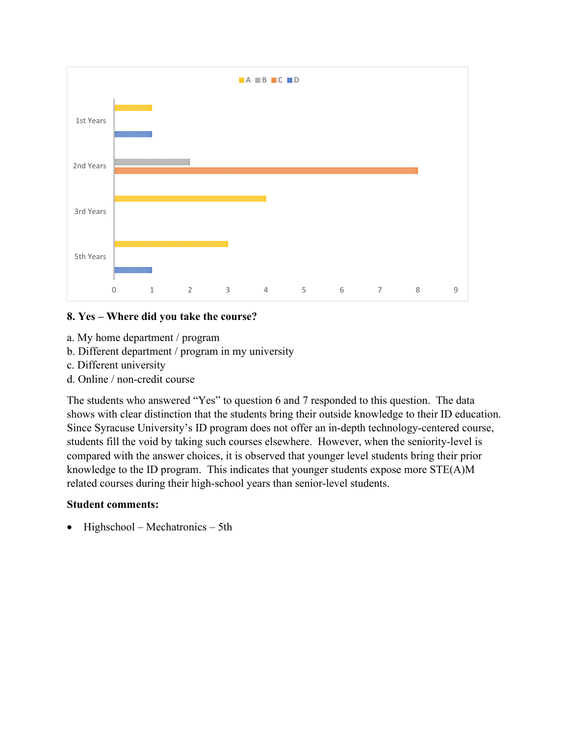

### **8. Yes – Where did you take the course?**

- a. My home department / program
- b. Different department / program in my university
- c. Different university
- d. Online / non-credit course

The students who answered "Yes" to question 6 and 7 responded to this question. The data shows with clear distinction that the students bring their outside knowledge to their ID education. Since Syracuse University's ID program does not offer an in-depth technology-centered course, students fill the void by taking such courses elsewhere. However, when the seniority-level is compared with the answer choices, it is observed that younger level students bring their prior knowledge to the ID program. This indicates that younger students expose more STE(A)M related courses during their high-school years than senior-level students.

### **Student comments:**

• Highschool – Mechatronics – 5th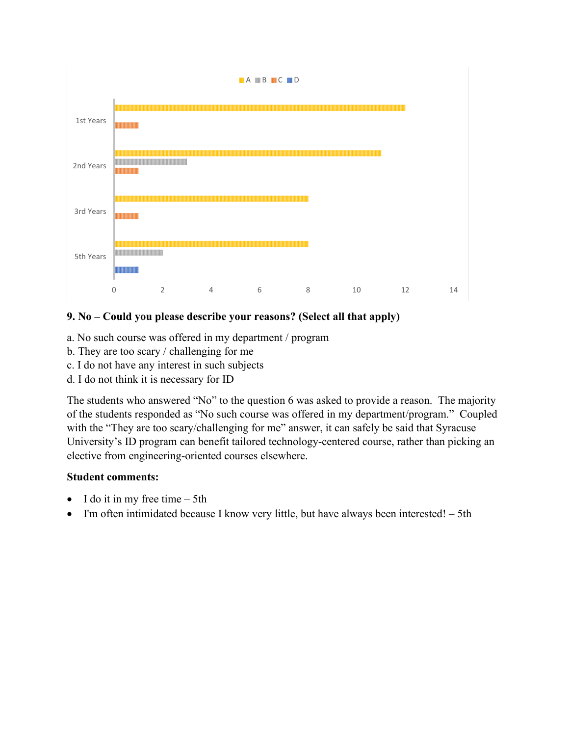

### **9. No – Could you please describe your reasons? (Select all that apply)**

- a. No such course was offered in my department / program
- b. They are too scary / challenging for me
- c. I do not have any interest in such subjects
- d. I do not think it is necessary for ID

The students who answered "No" to the question 6 was asked to provide a reason. The majority of the students responded as "No such course was offered in my department/program." Coupled with the "They are too scary/challenging for me" answer, it can safely be said that Syracuse University's ID program can benefit tailored technology-centered course, rather than picking an elective from engineering-oriented courses elsewhere.

- I do it in my free time  $-$  5th
- I'm often intimidated because I know very little, but have always been interested! 5th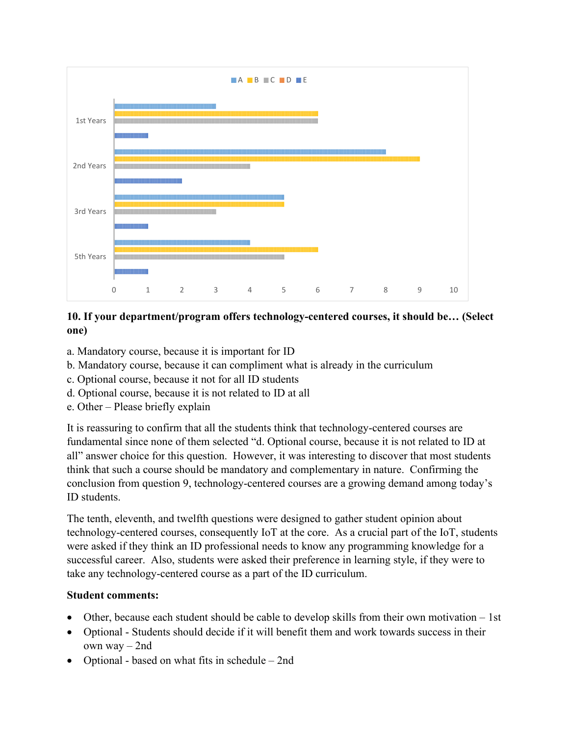

### **10. If your department/program offers technology-centered courses, it should be… (Select one)**

- a. Mandatory course, because it is important for ID
- b. Mandatory course, because it can compliment what is already in the curriculum
- c. Optional course, because it not for all ID students
- d. Optional course, because it is not related to ID at all
- e. Other Please briefly explain

It is reassuring to confirm that all the students think that technology-centered courses are fundamental since none of them selected "d. Optional course, because it is not related to ID at all" answer choice for this question. However, it was interesting to discover that most students think that such a course should be mandatory and complementary in nature. Confirming the conclusion from question 9, technology-centered courses are a growing demand among today's ID students.

The tenth, eleventh, and twelfth questions were designed to gather student opinion about technology-centered courses, consequently IoT at the core. As a crucial part of the IoT, students were asked if they think an ID professional needs to know any programming knowledge for a successful career. Also, students were asked their preference in learning style, if they were to take any technology-centered course as a part of the ID curriculum.

- Other, because each student should be cable to develop skills from their own motivation 1st
- Optional Students should decide if it will benefit them and work towards success in their own way – 2nd
- Optional based on what fits in schedule 2nd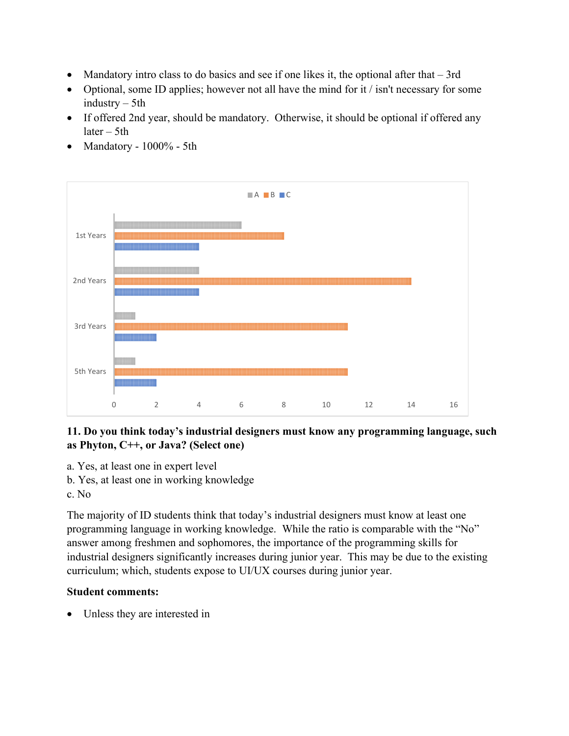- Mandatory intro class to do basics and see if one likes it, the optional after that 3rd
- Optional, some ID applies; however not all have the mind for it / isn't necessary for some industry – 5th
- If offered 2nd year, should be mandatory. Otherwise, it should be optional if offered any later – 5th
- Mandatory 1000% 5th



## **11. Do you think today's industrial designers must know any programming language, such as Phyton, C++, or Java? (Select one)**

- a. Yes, at least one in expert level
- b. Yes, at least one in working knowledge
- c. No

The majority of ID students think that today's industrial designers must know at least one programming language in working knowledge. While the ratio is comparable with the "No" answer among freshmen and sophomores, the importance of the programming skills for industrial designers significantly increases during junior year. This may be due to the existing curriculum; which, students expose to UI/UX courses during junior year.

## **Student comments:**

• Unless they are interested in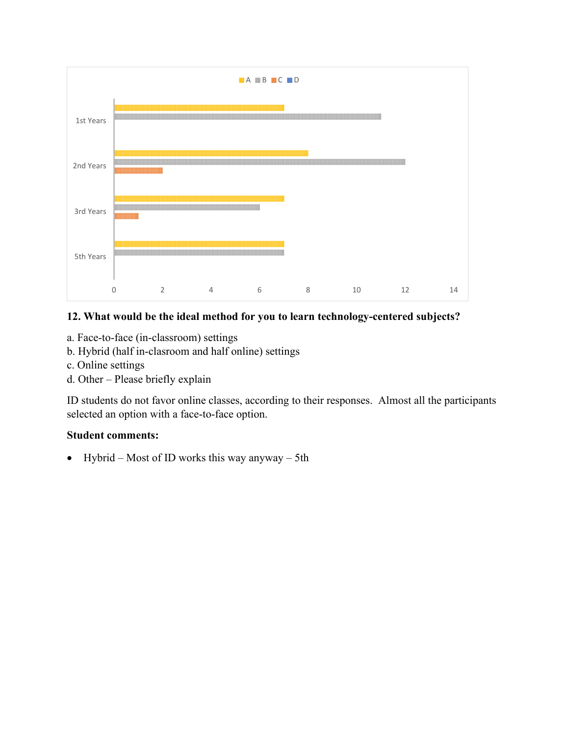

### **12. What would be the ideal method for you to learn technology-centered subjects?**

- a. Face-to-face (in-classroom) settings
- b. Hybrid (half in-clasroom and half online) settings
- c. Online settings
- d. Other Please briefly explain

ID students do not favor online classes, according to their responses. Almost all the participants selected an option with a face-to-face option.

#### **Student comments:**

• Hybrid – Most of ID works this way anyway – 5th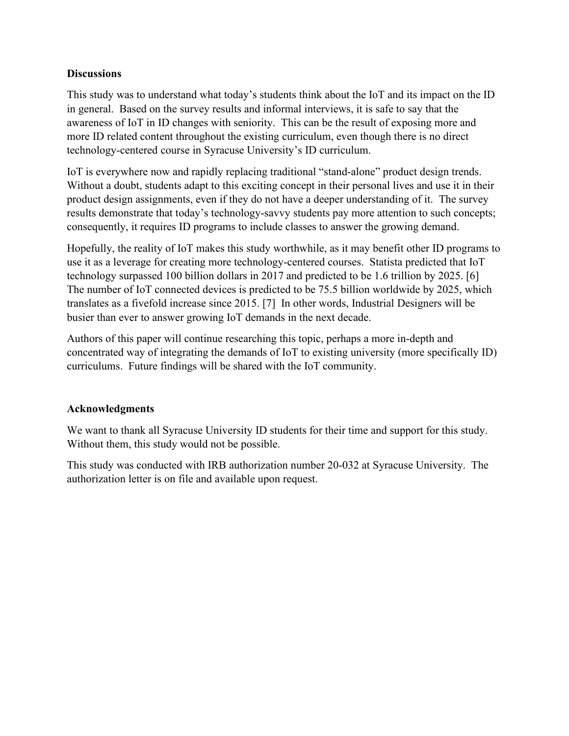### **Discussions**

This study was to understand what today's students think about the IoT and its impact on the ID in general. Based on the survey results and informal interviews, it is safe to say that the awareness of IoT in ID changes with seniority. This can be the result of exposing more and more ID related content throughout the existing curriculum, even though there is no direct technology-centered course in Syracuse University's ID curriculum.

IoT is everywhere now and rapidly replacing traditional "stand-alone" product design trends. Without a doubt, students adapt to this exciting concept in their personal lives and use it in their product design assignments, even if they do not have a deeper understanding of it. The survey results demonstrate that today's technology-savvy students pay more attention to such concepts; consequently, it requires ID programs to include classes to answer the growing demand.

Hopefully, the reality of IoT makes this study worthwhile, as it may benefit other ID programs to use it as a leverage for creating more technology-centered courses. Statista predicted that IoT technology surpassed 100 billion dollars in 2017 and predicted to be 1.6 trillion by 2025. [6] The number of IoT connected devices is predicted to be 75.5 billion worldwide by 2025, which translates as a fivefold increase since 2015. [7] In other words, Industrial Designers will be busier than ever to answer growing IoT demands in the next decade.

Authors of this paper will continue researching this topic, perhaps a more in-depth and concentrated way of integrating the demands of IoT to existing university (more specifically ID) curriculums. Future findings will be shared with the IoT community.

## **Acknowledgments**

We want to thank all Syracuse University ID students for their time and support for this study. Without them, this study would not be possible.

This study was conducted with IRB authorization number 20-032 at Syracuse University. The authorization letter is on file and available upon request.